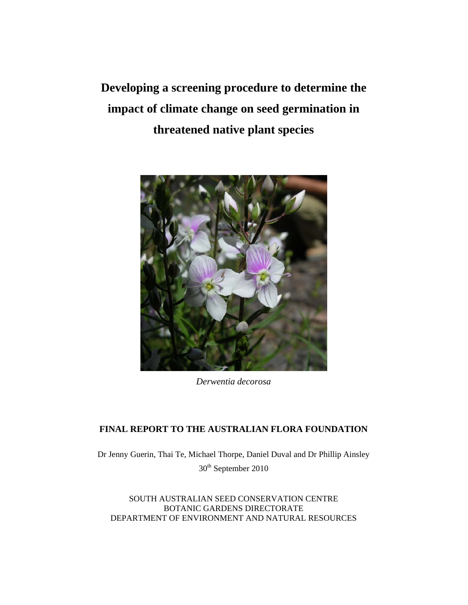**Developing a screening procedure to determine the impact of climate change on seed germination in threatened native plant species** 



*Derwentia decorosa*

# **FINAL REPORT TO THE AUSTRALIAN FLORA FOUNDATION**

Dr Jenny Guerin, Thai Te, Michael Thorpe, Daniel Duval and Dr Phillip Ainsley 30<sup>th</sup> September 2010

SOUTH AUSTRALIAN SEED CONSERVATION CENTRE BOTANIC GARDENS DIRECTORATE DEPARTMENT OF ENVIRONMENT AND NATURAL RESOURCES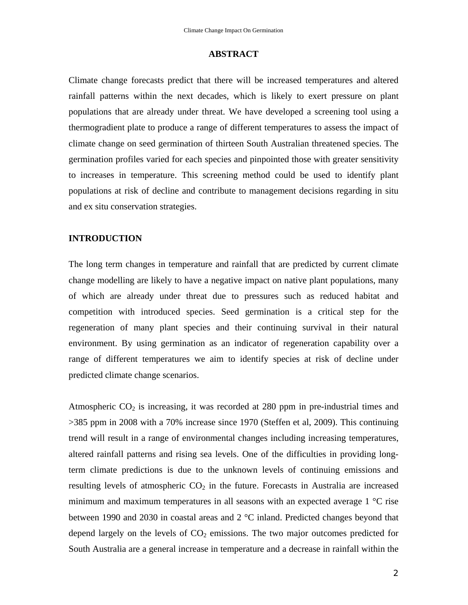### **ABSTRACT**

Climate change forecasts predict that there will be increased temperatures and altered rainfall patterns within the next decades, which is likely to exert pressure on plant populations that are already under threat. We have developed a screening tool using a thermogradient plate to produce a range of different temperatures to assess the impact of climate change on seed germination of thirteen South Australian threatened species. The germination profiles varied for each species and pinpointed those with greater sensitivity to increases in temperature. This screening method could be used to identify plant populations at risk of decline and contribute to management decisions regarding in situ and ex situ conservation strategies.

#### **INTRODUCTION**

The long term changes in temperature and rainfall that are predicted by current climate change modelling are likely to have a negative impact on native plant populations, many of which are already under threat due to pressures such as reduced habitat and competition with introduced species. Seed germination is a critical step for the regeneration of many plant species and their continuing survival in their natural environment. By using germination as an indicator of regeneration capability over a range of different temperatures we aim to identify species at risk of decline under predicted climate change scenarios.

Atmospheric  $CO<sub>2</sub>$  is increasing, it was recorded at 280 ppm in pre-industrial times and >385 ppm in 2008 with a 70% increase since 1970 (Steffen et al, 2009). This continuing trend will result in a range of environmental changes including increasing temperatures, altered rainfall patterns and rising sea levels. One of the difficulties in providing longterm climate predictions is due to the unknown levels of continuing emissions and resulting levels of atmospheric  $CO<sub>2</sub>$  in the future. Forecasts in Australia are increased minimum and maximum temperatures in all seasons with an expected average 1 °C rise between 1990 and 2030 in coastal areas and 2 °C inland. Predicted changes beyond that depend largely on the levels of  $CO<sub>2</sub>$  emissions. The two major outcomes predicted for South Australia are a general increase in temperature and a decrease in rainfall within the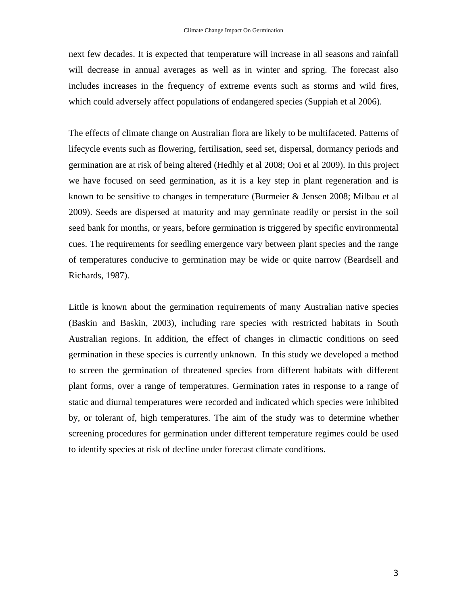next few decades. It is expected that temperature will increase in all seasons and rainfall will decrease in annual averages as well as in winter and spring. The forecast also includes increases in the frequency of extreme events such as storms and wild fires, which could adversely affect populations of endangered species (Suppiah et al 2006).

The effects of climate change on Australian flora are likely to be multifaceted. Patterns of lifecycle events such as flowering, fertilisation, seed set, dispersal, dormancy periods and germination are at risk of being altered (Hedhly et al 2008; Ooi et al 2009). In this project we have focused on seed germination, as it is a key step in plant regeneration and is known to be sensitive to changes in temperature (Burmeier & Jensen 2008; Milbau et al 2009). Seeds are dispersed at maturity and may germinate readily or persist in the soil seed bank for months, or years, before germination is triggered by specific environmental cues. The requirements for seedling emergence vary between plant species and the range of temperatures conducive to germination may be wide or quite narrow (Beardsell and Richards, 1987).

Little is known about the germination requirements of many Australian native species (Baskin and Baskin, 2003), including rare species with restricted habitats in South Australian regions. In addition, the effect of changes in climactic conditions on seed germination in these species is currently unknown. In this study we developed a method to screen the germination of threatened species from different habitats with different plant forms, over a range of temperatures. Germination rates in response to a range of static and diurnal temperatures were recorded and indicated which species were inhibited by, or tolerant of, high temperatures. The aim of the study was to determine whether screening procedures for germination under different temperature regimes could be used to identify species at risk of decline under forecast climate conditions.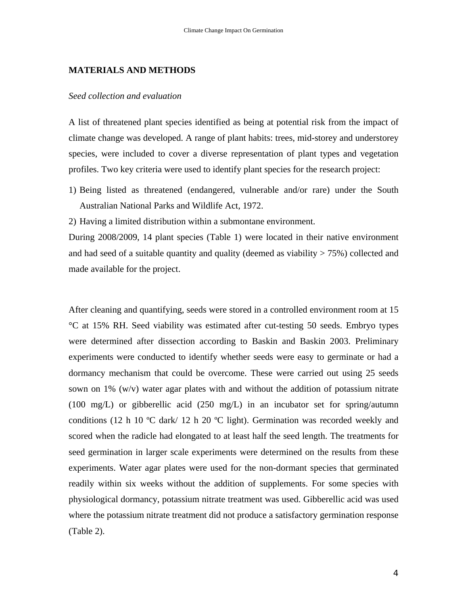#### **MATERIALS AND METHODS**

#### *Seed collection and evaluation*

A list of threatened plant species identified as being at potential risk from the impact of climate change was developed. A range of plant habits: trees, mid-storey and understorey species, were included to cover a diverse representation of plant types and vegetation profiles. Two key criteria were used to identify plant species for the research project:

1) Being listed as threatened (endangered, vulnerable and/or rare) under the South Australian National Parks and Wildlife Act, 1972.

2) Having a limited distribution within a submontane environment.

During 2008/2009, 14 plant species (Table 1) were located in their native environment and had seed of a suitable quantity and quality (deemed as viability  $> 75\%$ ) collected and made available for the project.

After cleaning and quantifying, seeds were stored in a controlled environment room at 15 °C at 15% RH. Seed viability was estimated after cut-testing 50 seeds. Embryo types were determined after dissection according to Baskin and Baskin 2003. Preliminary experiments were conducted to identify whether seeds were easy to germinate or had a dormancy mechanism that could be overcome. These were carried out using 25 seeds sown on  $1\%$  (w/v) water agar plates with and without the addition of potassium nitrate (100 mg/L) or gibberellic acid (250 mg/L) in an incubator set for spring/autumn conditions (12 h 10 ºC dark/ 12 h 20 ºC light). Germination was recorded weekly and scored when the radicle had elongated to at least half the seed length. The treatments for seed germination in larger scale experiments were determined on the results from these experiments. Water agar plates were used for the non-dormant species that germinated readily within six weeks without the addition of supplements. For some species with physiological dormancy, potassium nitrate treatment was used. Gibberellic acid was used where the potassium nitrate treatment did not produce a satisfactory germination response (Table 2).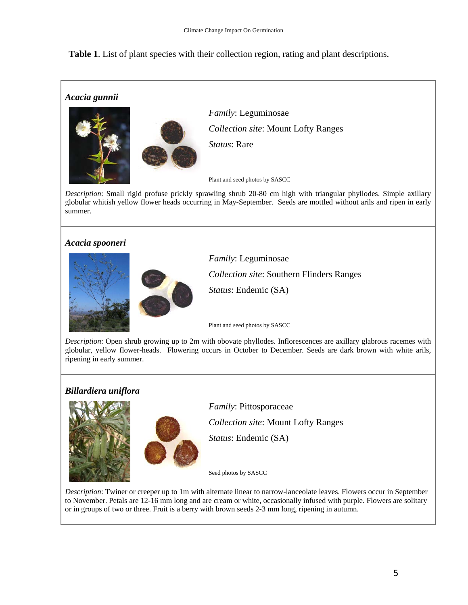**Table 1**. List of plant species with their collection region, rating and plant descriptions.

# *Acacia gunnii*



*Family*: Leguminosae *Collection site*: Mount Lofty Ranges *Status*: Rare

Plant and seed photos by SASCC

*Description*: Small rigid profuse prickly sprawling shrub 20-80 cm high with triangular phyllodes. Simple axillary globular whitish yellow flower heads occurring in May-September. Seeds are mottled without arils and ripen in early summer.

# *Acacia spooneri*





*Family*: Leguminosae *Collection site*: Southern Flinders Ranges *Status*: Endemic (SA)

Plant and seed photos by SASCC

*Description*: Open shrub growing up to 2m with obovate phyllodes. Inflorescences are axillary glabrous racemes with globular, yellow flower-heads. Flowering occurs in October to December. Seeds are dark brown with white arils, ripening in early summer.

# *Billardiera uniflora*





*Family*: Pittosporaceae

*Collection site*: Mount Lofty Ranges

*Status*: Endemic (SA)

Seed photos by SASCC

*Description*: Twiner or creeper up to 1m with alternate linear to narrow-lanceolate leaves. Flowers occur in September to November. Petals are 12-16 mm long and are cream or white, occasionally infused with purple. Flowers are solitary or in groups of two or three. Fruit is a berry with brown seeds 2-3 mm long, ripening in autumn.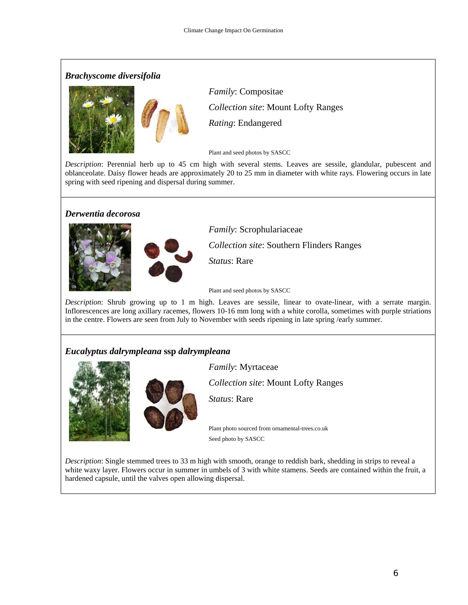## *Brachyscome diversifolia*



*Family*: Compositae *Collection site*: Mount Lofty Ranges *Rating*: Endangered

Plant and seed photos by SASCC

*Description*: Perennial herb up to 45 cm high with several stems. Leaves are sessile, glandular, pubescent and oblanceolate. Daisy flower heads are approximately 20 to 25 mm in diameter with white rays. Flowering occurs in late spring with seed ripening and dispersal during summer.

### *Derwentia decorosa*



*Family*: Scrophulariaceae

*Collection site*: Southern Flinders Ranges

*Status*: Rare

Plant and seed photos by SASCC

*Description*: Shrub growing up to 1 m high. Leaves are sessile, linear to ovate-linear, with a serrate margin. Inflorescences are long axillary racemes, flowers 10-16 mm long with a white corolla, sometimes with purple striations in the centre. Flowers are seen from July to November with seeds ripening in late spring /early summer.

# *Eucalyptus dalrympleana* **ssp** *dalrympleana*





*Family*: Myrtaceae

*Collection site*: Mount Lofty Ranges

*Status*: Rare

Plant photo sourced from ornamental-trees.co.uk Seed photo by SASCC

*Description*: Single stemmed trees to 33 m high with smooth, orange to reddish bark, shedding in strips to reveal a white waxy layer. Flowers occur in summer in umbels of 3 with white stamens. Seeds are contained within the fruit, a hardened capsule, until the valves open allowing dispersal.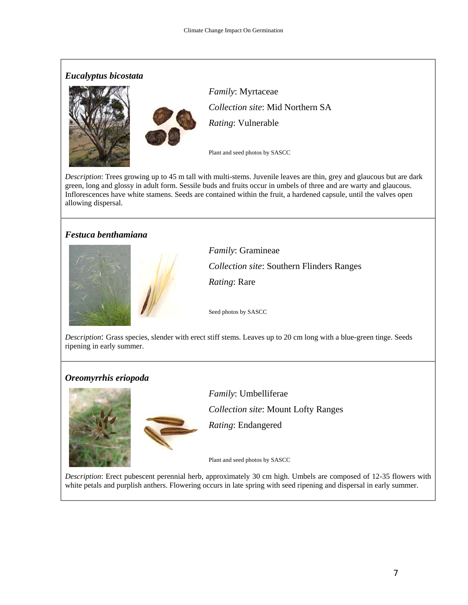

*Description*: Trees growing up to 45 m tall with multi-stems. Juvenile leaves are thin, grey and glaucous but are dark green, long and glossy in adult form. Sessile buds and fruits occur in umbels of three and are warty and glaucous. Inflorescences have white stamens. Seeds are contained within the fruit, a hardened capsule, until the valves open allowing dispersal.

## *Festuca benthamiana*



*Family*: Gramineae *Collection site*: Southern Flinders Ranges *Rating*: Rare

Seed photos by SASCC

*Description*: Grass species, slender with erect stiff stems. Leaves up to 20 cm long with a blue-green tinge. Seeds ripening in early summer.

### *Oreomyrrhis eriopoda*



*Family*: Umbelliferae *Collection site*: Mount Lofty Ranges *Rating*: Endangered

Plant and seed photos by SASCC

*Description*: Erect pubescent perennial herb, approximately 30 cm high. Umbels are composed of 12-35 flowers with white petals and purplish anthers. Flowering occurs in late spring with seed ripening and dispersal in early summer.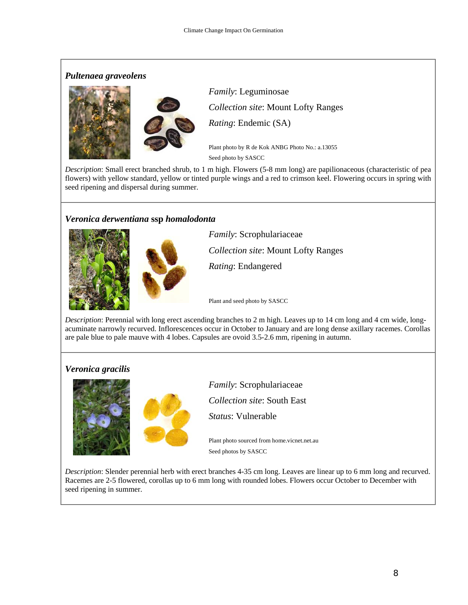## *Pultenaea graveolens*



*Family*: Leguminosae *Collection site*: Mount Lofty Ranges *Rating*: Endemic (SA)

Plant photo by R de Kok ANBG Photo No.: a.13055 Seed photo by SASCC

*Description*: Small erect branched shrub, to 1 m high. Flowers (5-8 mm long) are papilionaceous (characteristic of pea flowers) with yellow standard, yellow or tinted purple wings and a red to crimson keel. Flowering occurs in spring with seed ripening and dispersal during summer.

## *Veronica derwentiana* **ssp** *homalodonta*





*Family*: Scrophulariaceae *Collection site*: Mount Lofty Ranges *Rating*: Endangered

Plant and seed photo by SASCC

*Description*: Perennial with long erect ascending branches to 2 m high. Leaves up to 14 cm long and 4 cm wide, longacuminate narrowly recurved. Inflorescences occur in October to January and are long dense axillary racemes. Corollas are pale blue to pale mauve with 4 lobes. Capsules are ovoid 3.5-2.6 mm, ripening in autumn.

# *Veronica gracilis*





*Family*: Scrophulariaceae *Collection site*: South East *Status*: Vulnerable

Plant photo sourced from [home.vicnet.net.au](http://home.vicnet.net.au/)  Seed photos by SASCC

*Description*: Slender perennial herb with erect branches 4-35 cm long. Leaves are linear up to 6 mm long and recurved. Racemes are 2-5 flowered, corollas up to 6 mm long with rounded lobes. Flowers occur October to December with seed ripening in summer.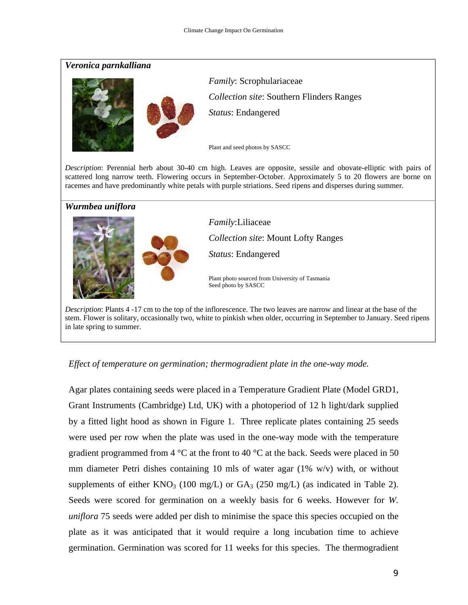### *Veronica parnkalliana*





*Family*: Scrophulariaceae *Collection site*: Southern Flinders Ranges *Status*: Endangered

Plant and seed photos by SASCC

*Description*: Perennial herb about 30-40 cm high. Leaves are opposite, sessile and obovate-elliptic with pairs of scattered long narrow teeth. Flowering occurs in September-October. Approximately 5 to 20 flowers are borne on racemes and have predominantly white petals with purple striations. Seed ripens and disperses during summer.

### *Wurmbea uniflora*



*Family*:Liliaceae *Collection site*: Mount Lofty Ranges *Status*: Endangered

Plant photo sourced from University of Tasmania Seed photo by SASCC

*Description*: Plants 4 -17 cm to the top of the inflorescence. The two leaves are narrow and linear at the base of the stem. Flower is solitary, occasionally two, white to pinkish when older, occurring in September to January. Seed ripens in late spring to summer.

## *Effect of temperature on germination; thermogradient plate in the one-way mode.*

Agar plates containing seeds were placed in a Temperature Gradient Plate (Model GRD1, Grant Instruments (Cambridge) Ltd, UK) with a photoperiod of 12 h light/dark supplied by a fitted light hood as shown in Figure 1. Three replicate plates containing 25 seeds were used per row when the plate was used in the one-way mode with the temperature gradient programmed from 4  $\degree$ C at the front to 40  $\degree$ C at the back. Seeds were placed in 50 mm diameter Petri dishes containing 10 mls of water agar (1% w/v) with, or without supplements of either  $KNO_3$  (100 mg/L) or  $GA_3$  (250 mg/L) (as indicated in Table 2). Seeds were scored for germination on a weekly basis for 6 weeks. However for *W. uniflora* 75 seeds were added per dish to minimise the space this species occupied on the plate as it was anticipated that it would require a long incubation time to achieve germination. Germination was scored for 11 weeks for this species. The thermogradient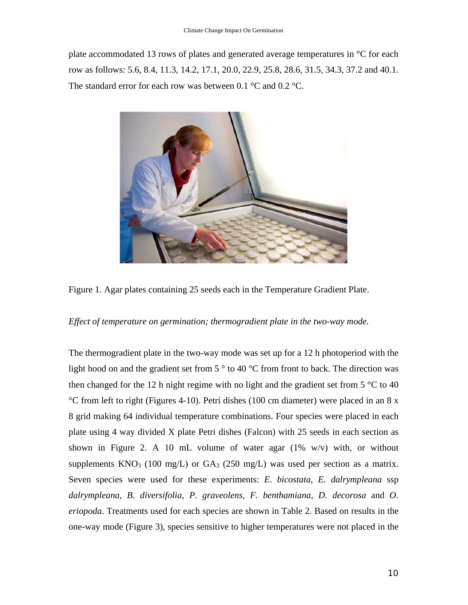plate accommodated 13 rows of plates and generated average temperatures in °C for each row as follows: 5.6, 8.4, 11.3, 14.2, 17.1, 20.0, 22.9, 25.8, 28.6, 31.5, 34.3, 37.2 and 40.1. The standard error for each row was between 0.1  $^{\circ}$ C and 0.2  $^{\circ}$ C.



Figure 1. Agar plates containing 25 seeds each in the Temperature Gradient Plate.

### *Effect of temperature on germination; thermogradient plate in the two-way mode.*

The thermogradient plate in the two-way mode was set up for a 12 h photoperiod with the light hood on and the gradient set from  $5^{\circ}$  to 40 °C from front to back. The direction was then changed for the 12 h night regime with no light and the gradient set from  $5^{\circ}$ C to 40 °C from left to right (Figures 4-10). Petri dishes (100 cm diameter) were placed in an 8 x 8 grid making 64 individual temperature combinations. Four species were placed in each plate using 4 way divided X plate Petri dishes (Falcon) with 25 seeds in each section as shown in Figure 2. A 10 mL volume of water agar  $(1\% \t w/v)$  with, or without supplements  $KNO_3$  (100 mg/L) or  $GA_3$  (250 mg/L) was used per section as a matrix. Seven species were used for these experiments: *E*. *bicostata*, *E. dalrympleana* ssp *dalrympleana*, *B. diversifolia*, *P. graveolens*, *F. benthamiana*, *D. decorosa* and *O. eriopoda*. Treatments used for each species are shown in Table 2. Based on results in the one-way mode (Figure 3), species sensitive to higher temperatures were not placed in the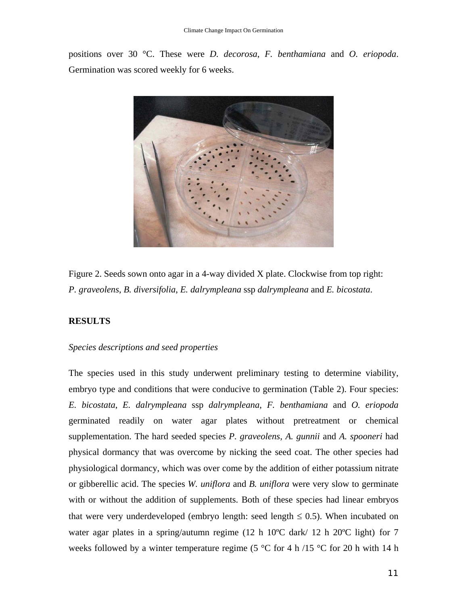positions over 30 °C. These were *D. decorosa*, *F. benthamiana* and *O. eriopoda*. Germination was scored weekly for 6 weeks.



Figure 2. Seeds sown onto agar in a 4-way divided X plate. Clockwise from top right: *P. graveolens*, *B. diversifolia*, *E. dalrympleana* ssp *dalrympleana* and *E. bicostata*.

### **RESULTS**

### *Species descriptions and seed properties*

The species used in this study underwent preliminary testing to determine viability, embryo type and conditions that were conducive to germination (Table 2). Four species: *E. bicostata*, *E. dalrympleana* ssp *dalrympleana*, *F. benthamiana* and *O. eriopoda* germinated readily on water agar plates without pretreatment or chemical supplementation. The hard seeded species *P. graveolens*, *A. gunnii* and *A. spooneri* had physical dormancy that was overcome by nicking the seed coat. The other species had physiological dormancy, which was over come by the addition of either potassium nitrate or gibberellic acid. The species *W. uniflora* and *B. uniflora* were very slow to germinate with or without the addition of supplements. Both of these species had linear embryos that were very underdeveloped (embryo length: seed length  $\leq 0.5$ ). When incubated on water agar plates in a spring/autumn regime (12 h 10°C dark/ 12 h 20°C light) for 7 weeks followed by a winter temperature regime (5  $\degree$ C for 4 h /15  $\degree$ C for 20 h with 14 h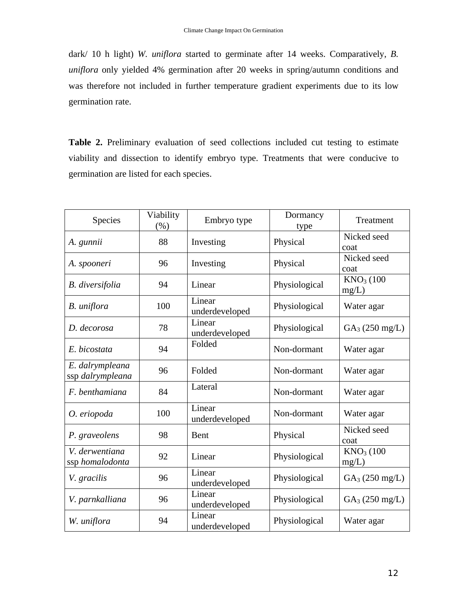dark/ 10 h light) *W. uniflora* started to germinate after 14 weeks. Comparatively, *B. uniflora* only yielded 4% germination after 20 weeks in spring/autumn conditions and was therefore not included in further temperature gradient experiments due to its low germination rate.

Table 2. Preliminary evaluation of seed collections included cut testing to estimate viability and dissection to identify embryo type. Treatments that were conducive to germination are listed for each species.

| Species                             | Viability<br>(% ) | Embryo type              | Dormancy<br>type | Treatment            |
|-------------------------------------|-------------------|--------------------------|------------------|----------------------|
| A. gunnii                           | 88                | Investing                | Physical         | Nicked seed<br>coat  |
| A. spooneri                         | 96                | Investing                | Physical         | Nicked seed<br>coat  |
| <b>B.</b> diversifolia              | 94                | Linear                   | Physiological    | $KNO3$ (100<br>mg/L) |
| B. uniflora                         | 100               | Linear<br>underdeveloped | Physiological    | Water agar           |
| D. decorosa                         | 78                | Linear<br>underdeveloped | Physiological    | $GA_3 (250 mg/L)$    |
| E. bicostata                        | 94                | Folded                   | Non-dormant      | Water agar           |
| E. dalrympleana<br>ssp dalrympleana | 96                | Folded                   | Non-dormant      | Water agar           |
| F. benthamiana                      | 84                | Lateral                  | Non-dormant      | Water agar           |
| O. eriopoda                         | 100               | Linear<br>underdeveloped | Non-dormant      | Water agar           |
| P. graveolens                       | 98                | <b>B</b> ent             | Physical         | Nicked seed<br>coat  |
| V. derwentiana<br>ssp homalodonta   | 92                | Linear                   | Physiological    | $KNO3$ (100<br>mg/L) |
| V. gracilis                         | 96                | Linear<br>underdeveloped | Physiological    | $GA_3 (250 mg/L)$    |
| V. parnkalliana                     | 96                | Linear<br>underdeveloped | Physiological    | $GA_3 (250 mg/L)$    |
| W. uniflora                         | 94                | Linear<br>underdeveloped | Physiological    | Water agar           |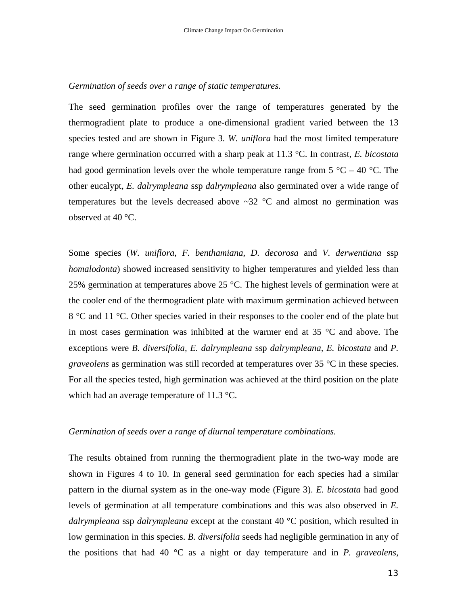#### *Germination of seeds over a range of static temperatures.*

The seed germination profiles over the range of temperatures generated by the thermogradient plate to produce a one-dimensional gradient varied between the 13 species tested and are shown in Figure 3. *W. uniflora* had the most limited temperature range where germination occurred with a sharp peak at 11.3 °C. In contrast, *E. bicostata* had good germination levels over the whole temperature range from  $5^{\circ}C - 40^{\circ}C$ . The other eucalypt, *E. dalrympleana* ssp *dalrympleana* also germinated over a wide range of temperatures but the levels decreased above  $\sim$ 32 °C and almost no germination was observed at 40 °C.

Some species (*W. uniflora*, *F. benthamiana*, *D. decorosa* and *V. derwentiana* ssp *homalodonta*) showed increased sensitivity to higher temperatures and yielded less than 25% germination at temperatures above 25 °C. The highest levels of germination were at the cooler end of the thermogradient plate with maximum germination achieved between 8 °C and 11 °C. Other species varied in their responses to the cooler end of the plate but in most cases germination was inhibited at the warmer end at 35 °C and above. The exceptions were *B. diversifolia, E. dalrympleana* ssp *dalrympleana, E. bicostata* and *P. graveolens* as germination was still recorded at temperatures over 35 °C in these species. For all the species tested, high germination was achieved at the third position on the plate which had an average temperature of 11.3 °C.

#### *Germination of seeds over a range of diurnal temperature combinations.*

The results obtained from running the thermogradient plate in the two-way mode are shown in Figures 4 to 10. In general seed germination for each species had a similar pattern in the diurnal system as in the one-way mode (Figure 3). *E. bicostata* had good levels of germination at all temperature combinations and this was also observed in *E. dalrympleana* ssp *dalrympleana* except at the constant 40 °C position, which resulted in low germination in this species. *B. diversifolia* seeds had negligible germination in any of the positions that had 40 °C as a night or day temperature and in *P. graveolens,*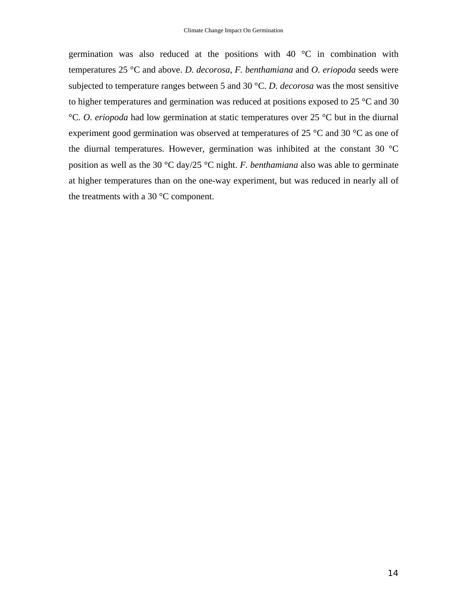germination was also reduced at the positions with  $40^{\circ}$ C in combination with temperatures 25 °C and above. *D. decorosa*, *F. benthamiana* and *O. eriopoda* seeds were subjected to temperature ranges between 5 and 30 °C. *D. decorosa* was the most sensitive to higher temperatures and germination was reduced at positions exposed to 25 °C and 30 °C. *O. eriopoda* had low germination at static temperatures over 25 °C but in the diurnal experiment good germination was observed at temperatures of 25 °C and 30 °C as one of the diurnal temperatures. However, germination was inhibited at the constant 30 °C position as well as the 30 °C day/25 °C night. *F. benthamiana* also was able to germinate at higher temperatures than on the one-way experiment, but was reduced in nearly all of the treatments with a 30  $\mathrm{^{\circ}C}$  component.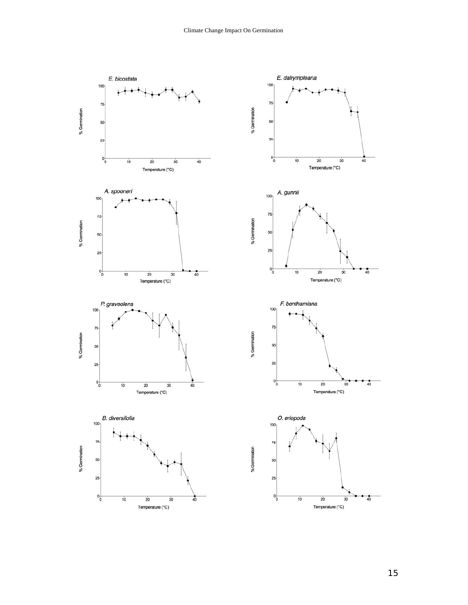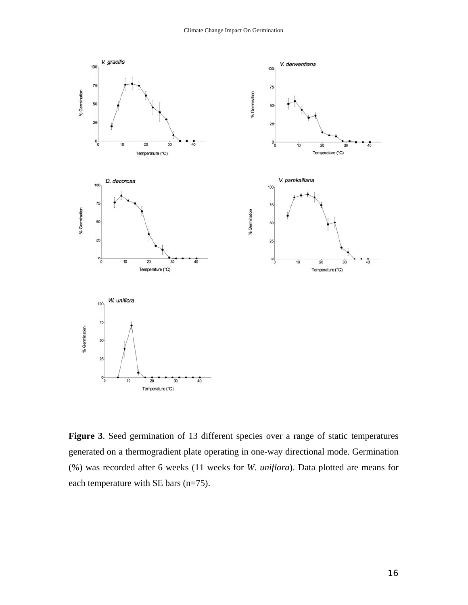

**Figure 3**. Seed germination of 13 different species over a range of static temperatures generated on a thermogradient plate operating in one-way directional mode. Germination (%) was recorded after 6 weeks (11 weeks for *W. uniflora*). Data plotted are means for each temperature with SE bars (n=75).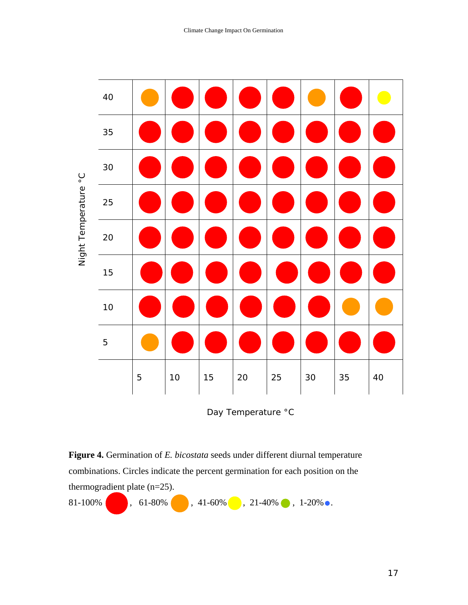

Day Temperature °C

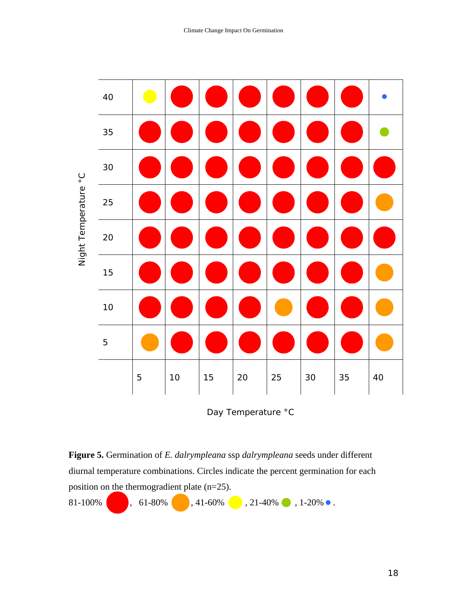

Day Temperature °C

**Figure 5.** Germination of *E. dalrympleana* ssp *dalrympleana* seeds under different diurnal temperature combinations. Circles indicate the percent germination for each position on the thermogradient plate (n=25). 81-100% , 61-80% , 41-60% , 21-40% , 1-20% .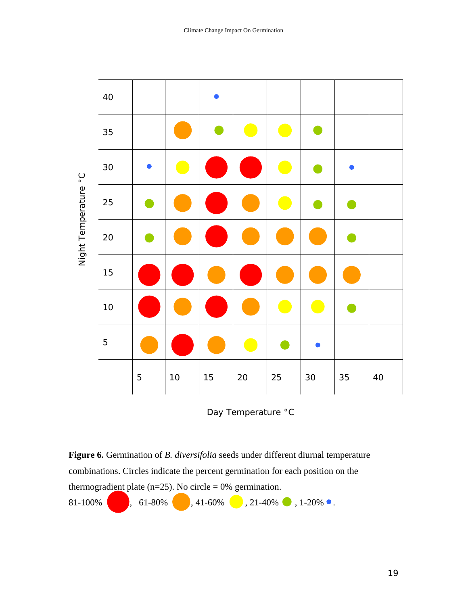

Day Temperature °C

**Figure 6.** Germination of *B. diversifolia* seeds under different diurnal temperature combinations. Circles indicate the percent germination for each position on the thermogradient plate (n=25). No circle = 0% germination. 81-100% , 61-80% , 41-60% , 21-40% , 1-20% .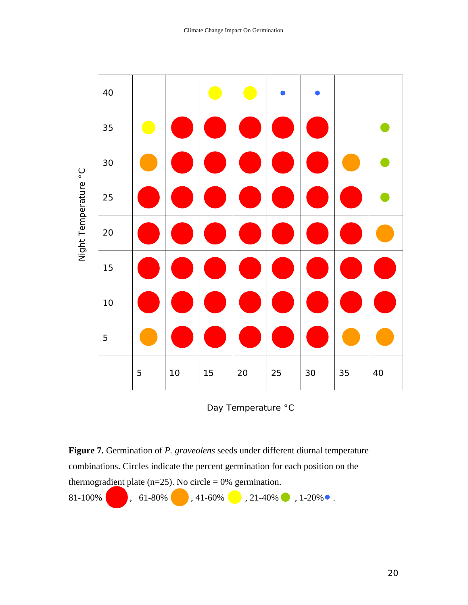

Day Temperature °C

**Figure 7.** Germination of *P. graveolens* seeds under different diurnal temperature combinations. Circles indicate the percent germination for each position on the thermogradient plate (n=25). No circle =  $0\%$  germination. 81-100% , 61-80% , 41-60% , 21-40% , 1-20% .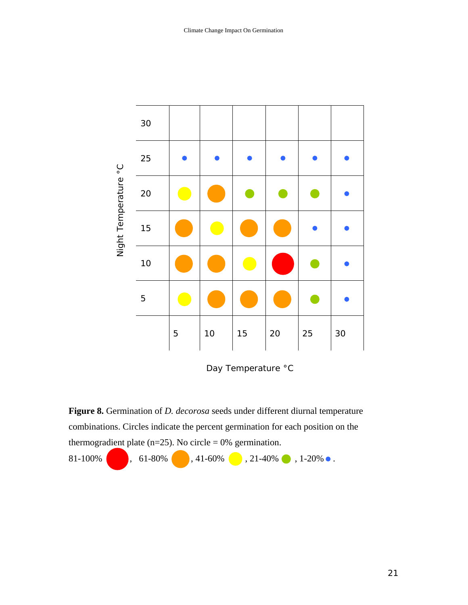

Day Temperature °C

**Figure 8.** Germination of *D. decorosa* seeds under different diurnal temperature combinations. Circles indicate the percent germination for each position on the thermogradient plate (n=25). No circle = 0% germination.

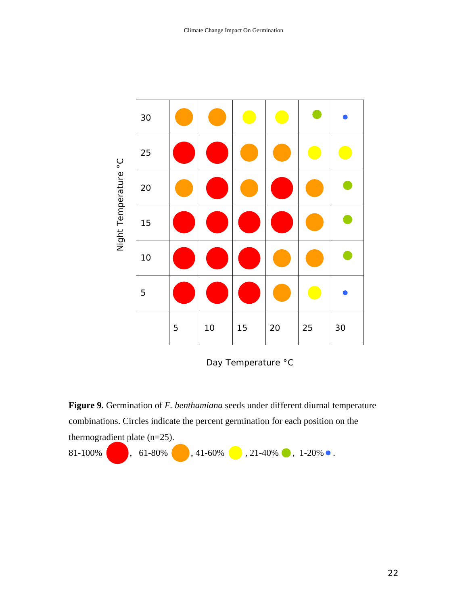

Day Temperature °C

**Figure 9.** Germination of *F. benthamiana* seeds under different diurnal temperature combinations. Circles indicate the percent germination for each position on the thermogradient plate (n=25).

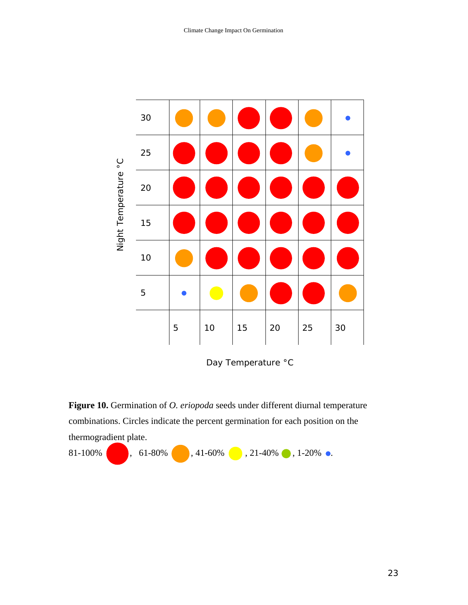

Day Temperature °C

Figure 10. Germination of *O. eriopoda* seeds under different diurnal temperature combinations. Circles indicate the percent germination for each position on the thermogradient plate.

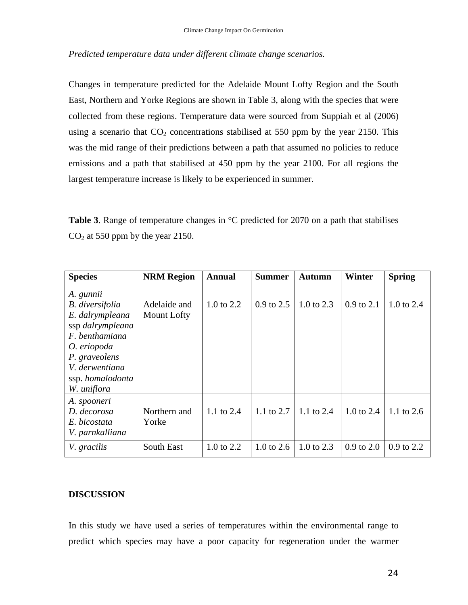## *Predicted temperature data under different climate change scenarios.*

Changes in temperature predicted for the Adelaide Mount Lofty Region and the South East, Northern and Yorke Regions are shown in Table 3, along with the species that were collected from these regions. Temperature data were sourced from Suppiah et al (2006) using a scenario that  $CO<sub>2</sub>$  concentrations stabilised at 550 ppm by the year 2150. This was the mid range of their predictions between a path that assumed no policies to reduce emissions and a path that stabilised at 450 ppm by the year 2100. For all regions the largest temperature increase is likely to be experienced in summer.

**Table 3**. Range of temperature changes in  $\degree$ C predicted for 2070 on a path that stabilises  $CO<sub>2</sub>$  at 550 ppm by the year 2150.

| <b>Species</b>                                                                                                                                                                    | <b>NRM Region</b>           | <b>Annual</b> | <b>Summer</b>  | <b>Autumn</b> | Winter                | <b>Spring</b> |
|-----------------------------------------------------------------------------------------------------------------------------------------------------------------------------------|-----------------------------|---------------|----------------|---------------|-----------------------|---------------|
| A. gunnii<br><b>B.</b> diversifolia<br>E. dalrympleana<br>ssp dalrympleana<br>F. benthamiana<br>O. eriopoda<br>P. graveolens<br>V. derwentiana<br>ssp. homalodonta<br>W. uniflora | Adelaide and<br>Mount Lofty | 1.0 to $2.2$  | $0.9$ to $2.5$ | 1.0 to $2.3$  | $0.9$ to $2.1$        | 1.0 to $2.4$  |
| A. spooneri<br>D. decorosa<br>E. bicostata<br>V. parnkalliana                                                                                                                     | Northern and<br>Yorke       | 1.1 to $2.4$  | 1.1 to $2.7$   | 1.1 to $2.4$  | $1.0 \text{ to } 2.4$ | 1.1 to $2.6$  |
| V. gracilis                                                                                                                                                                       | <b>South East</b>           | 1.0 to 2.2    | 1.0 to $2.6$   | 1.0 to $2.3$  | $0.9$ to $2.0$        | $0.9$ to 2.2  |

### **DISCUSSION**

In this study we have used a series of temperatures within the environmental range to predict which species may have a poor capacity for regeneration under the warmer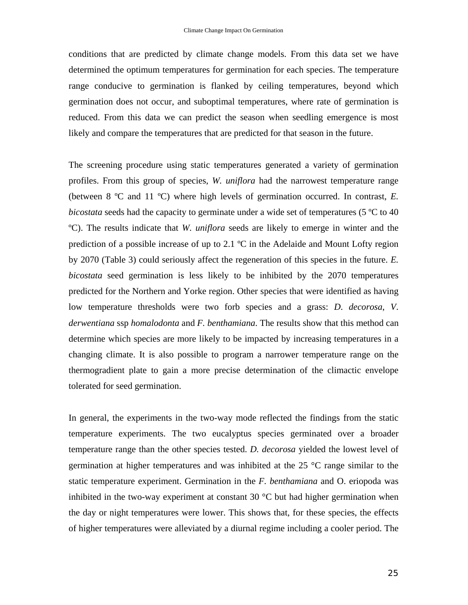conditions that are predicted by climate change models. From this data set we have determined the optimum temperatures for germination for each species. The temperature range conducive to germination is flanked by ceiling temperatures, beyond which germination does not occur, and suboptimal temperatures, where rate of germination is reduced. From this data we can predict the season when seedling emergence is most likely and compare the temperatures that are predicted for that season in the future.

The screening procedure using static temperatures generated a variety of germination profiles. From this group of species, *W. uniflora* had the narrowest temperature range (between 8 ºC and 11 ºC) where high levels of germination occurred. In contrast, *E. bicostata* seeds had the capacity to germinate under a wide set of temperatures (5 ºC to 40 ºC). The results indicate that *W. uniflora* seeds are likely to emerge in winter and the prediction of a possible increase of up to 2.1  $^{\circ}$ C in the Adelaide and Mount Lofty region by 2070 (Table 3) could seriously affect the regeneration of this species in the future. *E. bicostata* seed germination is less likely to be inhibited by the 2070 temperatures predicted for the Northern and Yorke region. Other species that were identified as having low temperature thresholds were two forb species and a grass: *D*. *decorosa*, *V*. *derwentiana* ssp *homalodonta* and *F. benthamiana*. The results show that this method can determine which species are more likely to be impacted by increasing temperatures in a changing climate. It is also possible to program a narrower temperature range on the thermogradient plate to gain a more precise determination of the climactic envelope tolerated for seed germination.

In general, the experiments in the two-way mode reflected the findings from the static temperature experiments. The two eucalyptus species germinated over a broader temperature range than the other species tested. *D. decorosa* yielded the lowest level of germination at higher temperatures and was inhibited at the 25 °C range similar to the static temperature experiment. Germination in the *F. benthamiana* and O. eriopoda was inhibited in the two-way experiment at constant 30  $\degree$ C but had higher germination when the day or night temperatures were lower. This shows that, for these species, the effects of higher temperatures were alleviated by a diurnal regime including a cooler period. The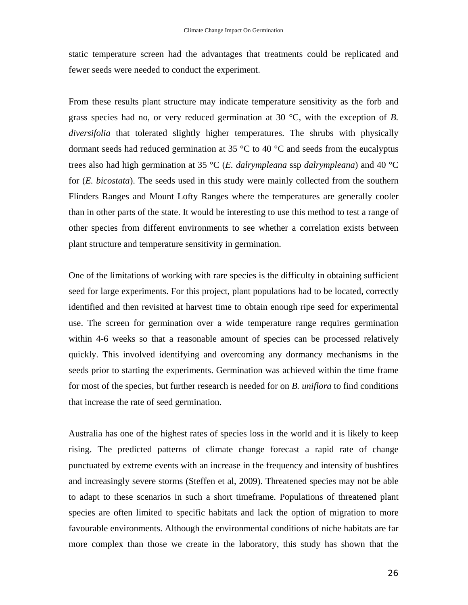static temperature screen had the advantages that treatments could be replicated and fewer seeds were needed to conduct the experiment.

From these results plant structure may indicate temperature sensitivity as the forb and grass species had no, or very reduced germination at 30 °C, with the exception of *B. diversifolia* that tolerated slightly higher temperatures. The shrubs with physically dormant seeds had reduced germination at 35  $\degree$ C to 40  $\degree$ C and seeds from the eucalyptus trees also had high germination at 35 °C (*E. dalrympleana* ssp *dalrympleana*) and 40 °C for (*E. bicostata*). The seeds used in this study were mainly collected from the southern Flinders Ranges and Mount Lofty Ranges where the temperatures are generally cooler than in other parts of the state. It would be interesting to use this method to test a range of other species from different environments to see whether a correlation exists between plant structure and temperature sensitivity in germination.

One of the limitations of working with rare species is the difficulty in obtaining sufficient seed for large experiments. For this project, plant populations had to be located, correctly identified and then revisited at harvest time to obtain enough ripe seed for experimental use. The screen for germination over a wide temperature range requires germination within 4-6 weeks so that a reasonable amount of species can be processed relatively quickly. This involved identifying and overcoming any dormancy mechanisms in the seeds prior to starting the experiments. Germination was achieved within the time frame for most of the species, but further research is needed for on *B. uniflora* to find conditions that increase the rate of seed germination.

Australia has one of the highest rates of species loss in the world and it is likely to keep rising. The predicted patterns of climate change forecast a rapid rate of change punctuated by extreme events with an increase in the frequency and intensity of bushfires and increasingly severe storms (Steffen et al, 2009). Threatened species may not be able to adapt to these scenarios in such a short timeframe. Populations of threatened plant species are often limited to specific habitats and lack the option of migration to more favourable environments. Although the environmental conditions of niche habitats are far more complex than those we create in the laboratory, this study has shown that the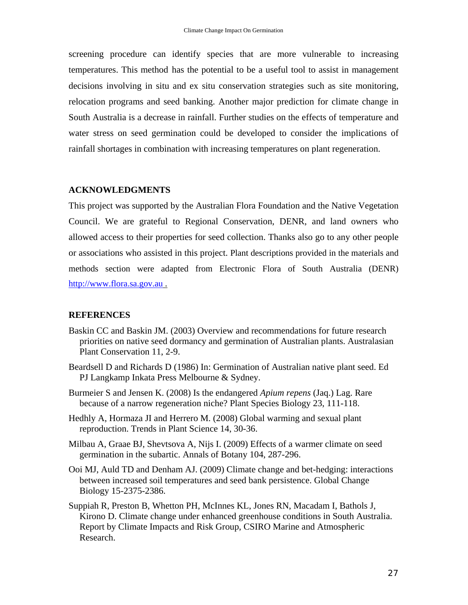screening procedure can identify species that are more vulnerable to increasing temperatures. This method has the potential to be a useful tool to assist in management decisions involving in situ and ex situ conservation strategies such as site monitoring, relocation programs and seed banking. Another major prediction for climate change in South Australia is a decrease in rainfall. Further studies on the effects of temperature and water stress on seed germination could be developed to consider the implications of rainfall shortages in combination with increasing temperatures on plant regeneration.

### **ACKNOWLEDGMENTS**

This project was supported by the Australian Flora Foundation and the Native Vegetation Council. We are grateful to Regional Conservation, DENR, and land owners who allowed access to their properties for seed collection. Thanks also go to any other people or associations who assisted in this project. Plant descriptions provided in the materials and methods section were adapted from Electronic Flora of South Australia (DENR) [http://www.flora.sa.gov.au](http://www.flora.sa.gov.au/) .

## **REFERENCES**

- Baskin CC and Baskin JM. (2003) Overview and recommendations for future research priorities on native seed dormancy and germination of Australian plants. Australasian Plant Conservation 11, 2-9.
- Beardsell D and Richards D (1986) In: Germination of Australian native plant seed. Ed PJ Langkamp Inkata Press Melbourne & Sydney.
- Burmeier S and Jensen K. (2008) Is the endangered *Apium repens* (Jaq.) Lag. Rare because of a narrow regeneration niche? Plant Species Biology 23, 111-118.
- Hedhly A, Hormaza JI and Herrero M. (2008) Global warming and sexual plant reproduction. Trends in Plant Science 14, 30-36.
- Milbau A, Graae BJ, Shevtsova A, Nijs I. (2009) Effects of a warmer climate on seed germination in the subartic. Annals of Botany 104, 287-296.
- Ooi MJ, Auld TD and Denham AJ. (2009) Climate change and bet-hedging: interactions between increased soil temperatures and seed bank persistence. Global Change Biology 15-2375-2386.
- Suppiah R, Preston B, Whetton PH, McInnes KL, Jones RN, Macadam I, Bathols J, Kirono D. Climate change under enhanced greenhouse conditions in South Australia. Report by Climate Impacts and Risk Group, CSIRO Marine and Atmospheric Research.